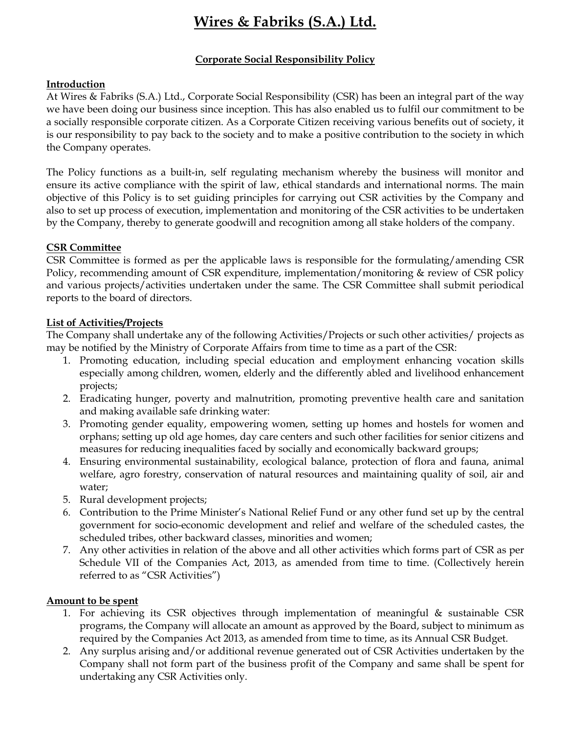# Wires & Fabriks (S.A.) Ltd.

## Corporate Social Responsibility Policy

### Introduction

At Wires & Fabriks (S.A.) Ltd., Corporate Social Responsibility (CSR) has been an integral part of the way we have been doing our business since inception. This has also enabled us to fulfil our commitment to be a socially responsible corporate citizen. As a Corporate Citizen receiving various benefits out of society, it is our responsibility to pay back to the society and to make a positive contribution to the society in which the Company operates.

The Policy functions as a built-in, self regulating mechanism whereby the business will monitor and ensure its active compliance with the spirit of law, ethical standards and international norms. The main objective of this Policy is to set guiding principles for carrying out CSR activities by the Company and also to set up process of execution, implementation and monitoring of the CSR activities to be undertaken by the Company, thereby to generate goodwill and recognition among all stake holders of the company.

### CSR Committee

CSR Committee is formed as per the applicable laws is responsible for the formulating/amending CSR Policy, recommending amount of CSR expenditure, implementation/monitoring & review of CSR policy and various projects/activities undertaken under the same. The CSR Committee shall submit periodical reports to the board of directors.

### List of Activities/Projects

The Company shall undertake any of the following Activities/Projects or such other activities/ projects as may be notified by the Ministry of Corporate Affairs from time to time as a part of the CSR:

- 1. Promoting education, including special education and employment enhancing vocation skills especially among children, women, elderly and the differently abled and livelihood enhancement projects;
- 2. Eradicating hunger, poverty and malnutrition, promoting preventive health care and sanitation and making available safe drinking water:
- 3. Promoting gender equality, empowering women, setting up homes and hostels for women and orphans; setting up old age homes, day care centers and such other facilities for senior citizens and measures for reducing inequalities faced by socially and economically backward groups;
- 4. Ensuring environmental sustainability, ecological balance, protection of flora and fauna, animal welfare, agro forestry, conservation of natural resources and maintaining quality of soil, air and water;
- 5. Rural development projects;
- 6. Contribution to the Prime Minister's National Relief Fund or any other fund set up by the central government for socio-economic development and relief and welfare of the scheduled castes, the scheduled tribes, other backward classes, minorities and women;
- 7. Any other activities in relation of the above and all other activities which forms part of CSR as per Schedule VII of the Companies Act, 2013, as amended from time to time. (Collectively herein referred to as "CSR Activities")

#### Amount to be spent

- 1. For achieving its CSR objectives through implementation of meaningful & sustainable CSR programs, the Company will allocate an amount as approved by the Board, subject to minimum as required by the Companies Act 2013, as amended from time to time, as its Annual CSR Budget.
- 2. Any surplus arising and/or additional revenue generated out of CSR Activities undertaken by the Company shall not form part of the business profit of the Company and same shall be spent for undertaking any CSR Activities only.